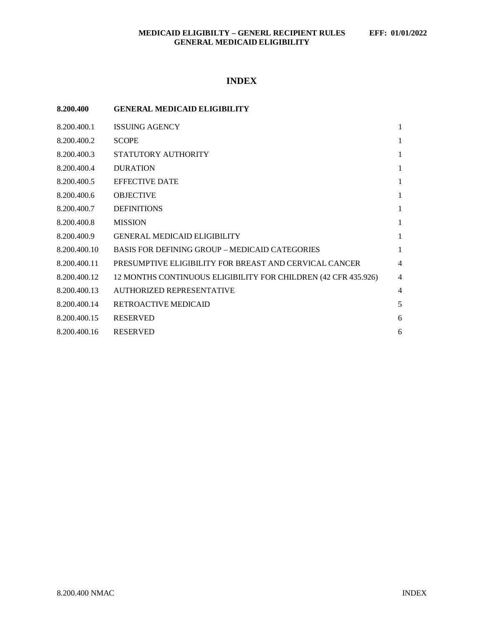# **INDEX**

| 8.200.400    | <b>GENERAL MEDICAID ELIGIBILITY</b>                            |                |
|--------------|----------------------------------------------------------------|----------------|
| 8.200.400.1  | <b>ISSUING AGENCY</b>                                          | 1              |
| 8.200.400.2  | <b>SCOPE</b>                                                   | 1              |
| 8.200.400.3  | STATUTORY AUTHORITY                                            | $\mathbf{1}$   |
| 8.200.400.4  | <b>DURATION</b>                                                | $\mathbf{1}$   |
| 8.200.400.5  | <b>EFFECTIVE DATE</b>                                          | 1              |
| 8.200.400.6  | <b>OBJECTIVE</b>                                               | 1              |
| 8.200.400.7  | <b>DEFINITIONS</b>                                             | $\mathbf{1}$   |
| 8.200.400.8  | <b>MISSION</b>                                                 | $\mathbf{1}$   |
| 8.200.400.9  | <b>GENERAL MEDICAID ELIGIBILITY</b>                            | $\mathbf{1}$   |
| 8.200.400.10 | <b>BASIS FOR DEFINING GROUP – MEDICAID CATEGORIES</b>          | $\mathbf{1}$   |
| 8.200.400.11 | PRESUMPTIVE ELIGIBILITY FOR BREAST AND CERVICAL CANCER         | $\overline{4}$ |
| 8.200.400.12 | 12 MONTHS CONTINUOUS ELIGIBILITY FOR CHILDREN (42 CFR 435.926) | $\overline{4}$ |
| 8.200.400.13 | <b>AUTHORIZED REPRESENTATIVE</b>                               | 4              |
| 8.200.400.14 | RETROACTIVE MEDICAID                                           | 5              |
| 8.200.400.15 | <b>RESERVED</b>                                                | 6              |
| 8.200.400.16 | <b>RESERVED</b>                                                | 6              |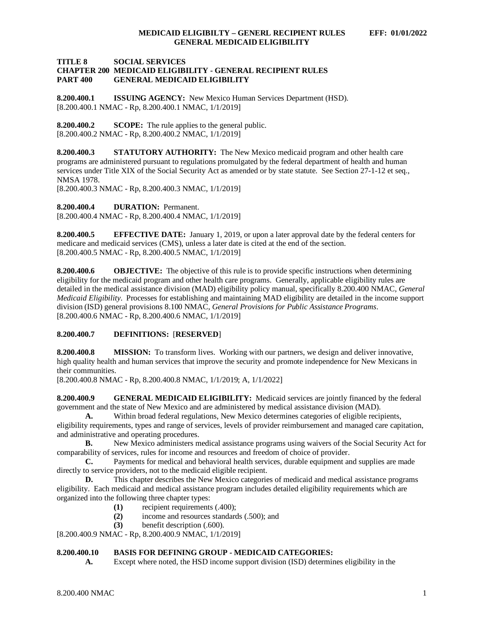#### **TITLE 8 SOCIAL SERVICES CHAPTER 200 MEDICAID ELIGIBILITY - GENERAL RECIPIENT RULES GENERAL MEDICAID ELIGIBILITY**

<span id="page-1-0"></span>**8.200.400.1 ISSUING AGENCY:** New Mexico Human Services Department (HSD). [8.200.400.1 NMAC - Rp, 8.200.400.1 NMAC, 1/1/2019]

<span id="page-1-1"></span>**8.200.400.2 SCOPE:** The rule applies to the general public. [8.200.400.2 NMAC - Rp, 8.200.400.2 NMAC, 1/1/2019]

<span id="page-1-2"></span>**8.200.400.3 STATUTORY AUTHORITY:** The New Mexico medicaid program and other health care programs are administered pursuant to regulations promulgated by the federal department of health and human services under Title XIX of the Social Security Act as amended or by state statute. See Section 27-1-12 et seq., NMSA 1978.

[8.200.400.3 NMAC - Rp, 8.200.400.3 NMAC, 1/1/2019]

<span id="page-1-3"></span>**8.200.400.4 DURATION:** Permanent.

[8.200.400.4 NMAC - Rp, 8.200.400.4 NMAC, 1/1/2019]

<span id="page-1-4"></span>**8.200.400.5 EFFECTIVE DATE:** January 1, 2019, or upon a later approval date by the federal centers for medicare and medicaid services (CMS), unless a later date is cited at the end of the section. [8.200.400.5 NMAC - Rp, 8.200.400.5 NMAC, 1/1/2019]

<span id="page-1-5"></span>**8.200.400.6 OBJECTIVE:** The objective of this rule is to provide specific instructions when determining eligibility for the medicaid program and other health care programs. Generally, applicable eligibility rules are detailed in the medical assistance division (MAD) eligibility policy manual, specifically 8.200.400 NMAC, *General Medicaid Eligibility*. Processes for establishing and maintaining MAD eligibility are detailed in the income support division (ISD) general provisions 8.100 NMAC, *General Provisions for Public Assistance Programs*. [8.200.400.6 NMAC - Rp, 8.200.400.6 NMAC, 1/1/2019]

### <span id="page-1-6"></span>**8.200.400.7 DEFINITIONS:** [**RESERVED**]

<span id="page-1-7"></span>**8.200.400.8 MISSION:** To transform lives. Working with our partners, we design and deliver innovative, high quality health and human services that improve the security and promote independence for New Mexicans in their communities.

[8.200.400.8 NMAC - Rp, 8.200.400.8 NMAC, 1/1/2019; A, 1/1/2022]

<span id="page-1-8"></span>**8.200.400.9 GENERAL MEDICAID ELIGIBILITY:** Medicaid services are jointly financed by the federal government and the state of New Mexico and are administered by medical assistance division (MAD).

**A.** Within broad federal regulations, New Mexico determines categories of eligible recipients, eligibility requirements, types and range of services, levels of provider reimbursement and managed care capitation, and administrative and operating procedures.<br> **B.** New Mexico administers m

**B.** New Mexico administers medical assistance programs using waivers of the Social Security Act for comparability of services, rules for income and resources and freedom of choice of provider.

**C.** Payments for medical and behavioral health services, durable equipment and supplies are made directly to service providers, not to the medicaid eligible recipient.

**D.** This chapter describes the New Mexico categories of medicaid and medical assistance programs eligibility. Each medicaid and medical assistance program includes detailed eligibility requirements which are organized into the following three chapter types:

- **(1)** recipient requirements (.400);
- **(2)** income and resources standards (.500); and
- **(3)** benefit description (.600).

[8.200.400.9 NMAC - Rp, 8.200.400.9 NMAC, 1/1/2019]

### <span id="page-1-9"></span>**8.200.400.10 BASIS FOR DEFINING GROUP - MEDICAID CATEGORIES:**

**A.** Except where noted, the HSD income support division (ISD) determines eligibility in the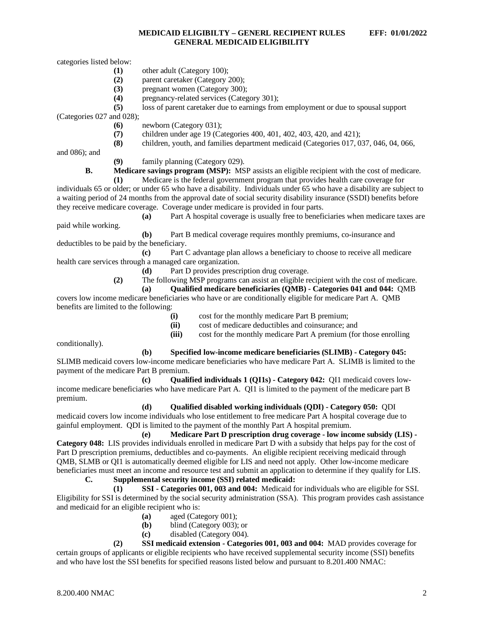categories listed below:

- **(1)** other adult (Category 100);
- **(2)** parent caretaker (Category 200);
- **(3)** pregnant women (Category 300);
- **(4)** pregnancy-related services (Category 301);

**(5)** loss of parent caretaker due to earnings from employment or due to spousal support

(Categories 027 and 028);

- **(6)** newborn (Category 031);
- (7) children under age 19 (Categories 400, 401, 402, 403, 420, and 421);<br>(8) children, youth, and families department medicaid (Categories 017, 0)
- **(8)** children, youth, and families department medicaid (Categories 017, 037, 046, 04, 066,

and 086); and

**(9)** family planning (Category 029).

**B. Medicare savings program (MSP):** MSP assists an eligible recipient with the cost of medicare.

**(1)** Medicare is the federal government program that provides health care coverage for individuals 65 or older; or under 65 who have a disability. Individuals under 65 who have a disability are subject to a waiting period of 24 months from the approval date of social security disability insurance (SSDI) benefits before they receive medicare coverage. Coverage under medicare is provided in four parts.

**(a)** Part A hospital coverage is usually free to beneficiaries when medicare taxes are paid while working.

**(b)** Part B medical coverage requires monthly premiums, co-insurance and deductibles to be paid by the beneficiary.

**(c)** Part C advantage plan allows a beneficiary to choose to receive all medicare health care services through a managed care organization.

**(d)** Part D provides prescription drug coverage.

**(2)** The following MSP programs can assist an eligible recipient with the cost of medicare.

**(a) Qualified medicare beneficiaries (QMB) - Categories 041 and 044:** QMB covers low income medicare beneficiaries who have or are conditionally eligible for medicare Part A. QMB benefits are limited to the following:

- **(i)** cost for the monthly medicare Part B premium;
- **(ii)** cost of medicare deductibles and coinsurance; and
- **(iii)** cost for the monthly medicare Part A premium (for those enrolling

conditionally).

**(b) Specified low-income medicare beneficiaries (SLIMB) - Category 045:**

SLIMB medicaid covers low-income medicare beneficiaries who have medicare Part A. SLIMB is limited to the payment of the medicare Part B premium.

**(c) Qualified individuals 1 (QI1s) - Category 042:** QI1 medicaid covers lowincome medicare beneficiaries who have medicare Part A. QI1 is limited to the payment of the medicare part B premium.

**(d) Qualified disabled working individuals (QDI) - Category 050:** QDI medicaid covers low income individuals who lose entitlement to free medicare Part A hospital coverage due to gainful employment. QDI is limited to the payment of the monthly Part A hospital premium.

**(e) Medicare Part D prescription drug coverage - low income subsidy (LIS) - Category 048:** LIS provides individuals enrolled in medicare Part D with a subsidy that helps pay for the cost of Part D prescription premiums, deductibles and co-payments. An eligible recipient receiving medicaid through QMB, SLMB or QI1 is automatically deemed eligible for LIS and need not apply. Other low-income medicare beneficiaries must meet an income and resource test and submit an application to determine if they qualify for LIS.

## **C. Supplemental security income (SSI) related medicaid:**

**(1) SSI - Categories 001, 003 and 004:** Medicaid for individuals who are eligible for SSI. Eligibility for SSI is determined by the social security administration (SSA). This program provides cash assistance and medicaid for an eligible recipient who is:

- **(a)** aged (Category 001);
- **(b)** blind (Category 003); or
- **(c)** disabled (Category 004).

**(2) SSI medicaid extension - Categories 001, 003 and 004:** MAD provides coverage for certain groups of applicants or eligible recipients who have received supplemental security income (SSI) benefits and who have lost the SSI benefits for specified reasons listed below and pursuant to 8.201.400 NMAC: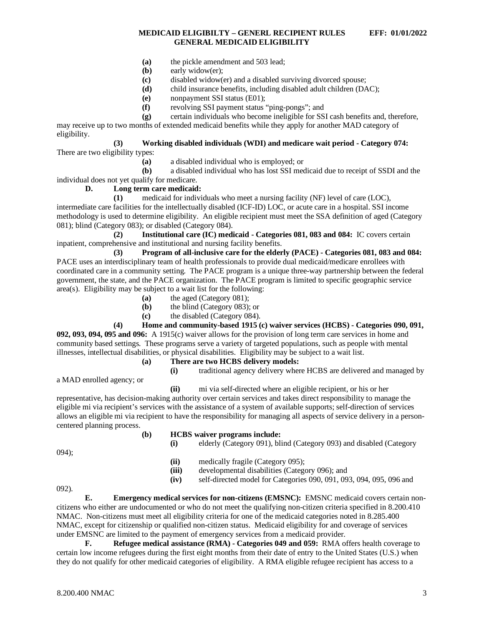- **(a)** the pickle amendment and 503 lead;
- **(b)** early widow(er);
- **(c)** disabled widow(er) and a disabled surviving divorced spouse;
- **(d)** child insurance benefits, including disabled adult children (DAC);
- **(e)** nonpayment SSI status (E01);
- **(f)** revolving SSI payment status "ping-pongs"; and

**(g)** certain individuals who become ineligible for SSI cash benefits and, therefore, may receive up to two months of extended medicaid benefits while they apply for another MAD category of eligibility.

# **(3) Working disabled individuals (WDI) and medicare wait period - Category 074:**

There are two eligibility types:

**(a)** a disabled individual who is employed; or

**(b)** a disabled individual who has lost SSI medicaid due to receipt of SSDI and the individual does not yet qualify for medicare.

# **D. Long term care medicaid:**

**(1)** medicaid for individuals who meet a nursing facility (NF) level of care (LOC), intermediate care facilities for the intellectually disabled (ICF-ID) LOC, or acute care in a hospital. SSI income methodology is used to determine eligibility. An eligible recipient must meet the SSA definition of aged (Category 081); blind (Category 083); or disabled (Category 084).

**(2) Institutional care (IC) medicaid - Categories 081, 083 and 084:** IC covers certain inpatient, comprehensive and institutional and nursing facility benefits.

**(3) Program of all-inclusive care for the elderly (PACE) - Categories 081, 083 and 084:** PACE uses an interdisciplinary team of health professionals to provide dual medicaid/medicare enrollees with coordinated care in a community setting. The PACE program is a unique three-way partnership between the federal government, the state, and the PACE organization. The PACE program is limited to specific geographic service area(s). Eligibility may be subject to a wait list for the following:

- **(a)** the aged (Category 081);
- **(b)** the blind (Category 083); or
- **(c)** the disabled (Category 084).

**(4) Home and community-based 1915 (c) waiver services (HCBS) - Categories 090, 091,** 

**092, 093, 094, 095 and 096:** A 1915(c) waiver allows for the provision of long term care services in home and community based settings. These programs serve a variety of targeted populations, such as people with mental illnesses, intellectual disabilities, or physical disabilities. Eligibility may be subject to a wait list.

- **(a) There are two HCBS delivery models: (i)** traditional agency delivery where HCBS are delivered and managed by
- a MAD enrolled agency; or
- **(ii)** mi via self-directed where an eligible recipient, or his or her

representative, has decision-making authority over certain services and takes direct responsibility to manage the eligible mi via recipient's services with the assistance of a system of available supports; self-direction of services allows an eligible mi via recipient to have the responsibility for managing all aspects of service delivery in a personcentered planning process.

#### **(b) HCBS waiver programs include: (i)** elderly (Category 091), blind (Category 093) and disabled (Category

094);

- **(ii)** medically fragile (Category 095);<br>**(iii)** developmental disabilities (Category
- developmental disabilities (Category 096); and
- **(iv)** self-directed model for Categories 090, 091, 093, 094, 095, 096 and

092).

**E. Emergency medical services for non-citizens (EMSNC):** EMSNC medicaid covers certain noncitizens who either are undocumented or who do not meet the qualifying non-citizen criteria specified in 8.200.410 NMAC. Non-citizens must meet all eligibility criteria for one of the medicaid categories noted in 8.285.400 NMAC, except for citizenship or qualified non-citizen status. Medicaid eligibility for and coverage of services under EMSNC are limited to the payment of emergency services from a medicaid provider.

**F. Refugee medical assistance (RMA) - Categories 049 and 059:** RMA offers health coverage to certain low income refugees during the first eight months from their date of entry to the United States (U.S.) when they do not qualify for other medicaid categories of eligibility. A RMA eligible refugee recipient has access to a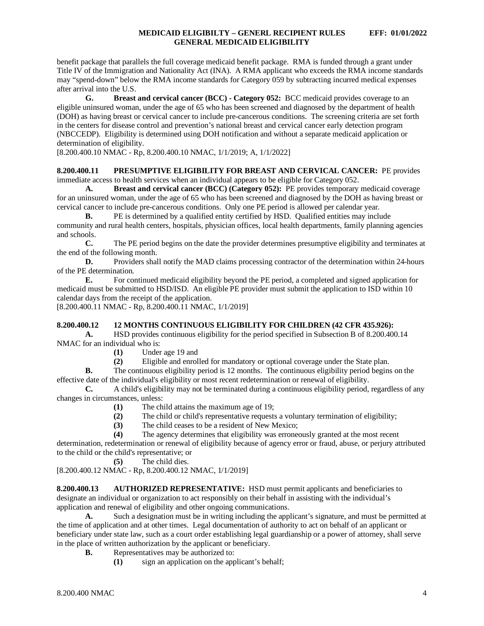benefit package that parallels the full coverage medicaid benefit package. RMA is funded through a grant under Title IV of the Immigration and Nationality Act (INA). A RMA applicant who exceeds the RMA income standards may "spend-down" below the RMA income standards for Category 059 by subtracting incurred medical expenses after arrival into the U.S.

**G. Breast and cervical cancer (BCC) - Category 052:** BCC medicaid provides coverage to an eligible uninsured woman, under the age of 65 who has been screened and diagnosed by the department of health (DOH) as having breast or cervical cancer to include pre-cancerous conditions. The screening criteria are set forth in the centers for disease control and prevention's national breast and cervical cancer early detection program (NBCCEDP). Eligibility is determined using DOH notification and without a separate medicaid application or determination of eligibility.

[8.200.400.10 NMAC - Rp, 8.200.400.10 NMAC, 1/1/2019; A, 1/1/2022]

### <span id="page-4-0"></span>**8.200.400.11 PRESUMPTIVE ELIGIBILITY FOR BREAST AND CERVICAL CANCER:** PE provides immediate access to health services when an individual appears to be eligible for Category 052.

**A. Breast and cervical cancer (BCC) (Category 052):** PE provides temporary medicaid coverage for an uninsured woman, under the age of 65 who has been screened and diagnosed by the DOH as having breast or cervical cancer to include pre-cancerous conditions. Only one PE period is allowed per calendar year.

**B.** PE is determined by a qualified entity certified by HSD. Qualified entities may include community and rural health centers, hospitals, physician offices, local health departments, family planning agencies and schools.

**C.** The PE period begins on the date the provider determines presumptive eligibility and terminates at the end of the following month.

**D.** Providers shall notify the MAD claims processing contractor of the determination within 24-hours of the PE determination.

**E.** For continued medicaid eligibility beyond the PE period, a completed and signed application for medicaid must be submitted to HSD/ISD. An eligible PE provider must submit the application to ISD within 10 calendar days from the receipt of the application.

[8.200.400.11 NMAC - Rp, 8.200.400.11 NMAC, 1/1/2019]

### <span id="page-4-1"></span>**8.200.400.12 12 MONTHS CONTINUOUS ELIGIBILITY FOR CHILDREN (42 CFR 435.926):**

**A.** HSD provides continuous eligibility for the period specified in Subsection B of 8.200.400.14 NMAC for an individual who is:

- **(1)** Under age 19 and
- **(2)** Eligible and enrolled for mandatory or optional coverage under the State plan.

**B.** The continuous eligibility period is 12 months. The continuous eligibility period begins on the effective date of the individual's eligibility or most recent redetermination or renewal of eligibility.

**C.** A child's eligibility may not be terminated during a continuous eligibility period, regardless of any changes in circumstances, unless:

- **(1)** The child attains the maximum age of 19;
- **(2)** The child or child's representative requests a voluntary termination of eligibility;
- (3) The child ceases to be a resident of New Mexico;<br>(4) The agency determines that eligibility was errored

The agency determines that eligibility was erroneously granted at the most recent

determination, redetermination or renewal of eligibility because of agency error or fraud, abuse, or perjury attributed to the child or the child's representative; or

**(5)** The child dies.

[8.200.400.12 NMAC - Rp, 8.200.400.12 NMAC, 1/1/2019]

<span id="page-4-2"></span>**8.200.400.13 AUTHORIZED REPRESENTATIVE:** HSD must permit applicants and beneficiaries to designate an individual or organization to act responsibly on their behalf in assisting with the individual's application and renewal of eligibility and other ongoing communications.

**A.** Such a designation must be in writing including the applicant's signature, and must be permitted at the time of application and at other times. Legal documentation of authority to act on behalf of an applicant or beneficiary under state law, such as a court order establishing legal guardianship or a power of attorney, shall serve in the place of written authorization by the applicant or beneficiary.

- **B.** Representatives may be authorized to:
	- **(1)** sign an application on the applicant's behalf;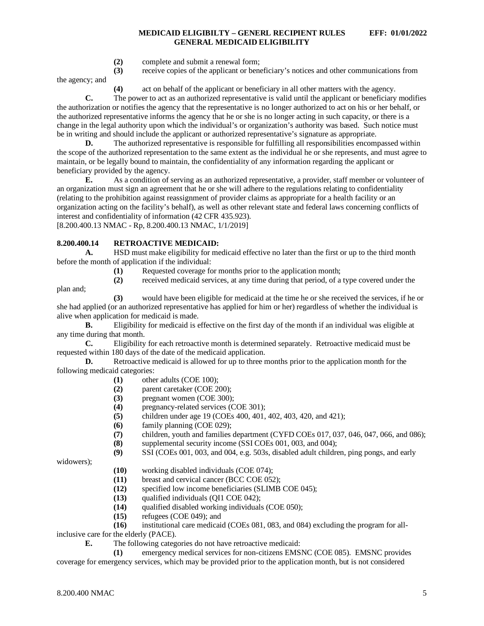**(2)** complete and submit a renewal form;

**(3)** receive copies of the applicant or beneficiary's notices and other communications from the agency; and

**(4)** act on behalf of the applicant or beneficiary in all other matters with the agency.

**C.** The power to act as an authorized representative is valid until the applicant or beneficiary modifies the authorization or notifies the agency that the representative is no longer authorized to act on his or her behalf, or the authorized representative informs the agency that he or she is no longer acting in such capacity, or there is a change in the legal authority upon which the individual's or organization's authority was based. Such notice must be in writing and should include the applicant or authorized representative's signature as appropriate.

**D.** The authorized representative is responsible for fulfilling all responsibilities encompassed within the scope of the authorized representation to the same extent as the individual he or she represents, and must agree to maintain, or be legally bound to maintain, the confidentiality of any information regarding the applicant or beneficiary provided by the agency.

**E.** As a condition of serving as an authorized representative, a provider, staff member or volunteer of an organization must sign an agreement that he or she will adhere to the regulations relating to confidentiality (relating to the prohibition against reassignment of provider claims as appropriate for a health facility or an organization acting on the facility's behalf), as well as other relevant state and federal laws concerning conflicts of interest and confidentiality of information (42 CFR 435.923).

[8.200.400.13 NMAC - Rp, 8.200.400.13 NMAC, 1/1/2019]

# <span id="page-5-0"></span>**8.200.400.14 RETROACTIVE MEDICAID:**

**A.** HSD must make eligibility for medicaid effective no later than the first or up to the third month before the month of application if the individual:

**(1)** Requested coverage for months prior to the application month;

**(2)** received medicaid services, at any time during that period, of a type covered under the

**(3)** would have been eligible for medicaid at the time he or she received the services, if he or she had applied (or an authorized representative has applied for him or her) regardless of whether the individual is alive when application for medicaid is made.

**B.** Eligibility for medicaid is effective on the first day of the month if an individual was eligible at any time during that month.

**C.** Eligibility for each retroactive month is determined separately. Retroactive medicaid must be requested within 180 days of the date of the medicaid application.

**D.** Retroactive medicaid is allowed for up to three months prior to the application month for the following medicaid categories:

- **(1)** other adults (COE 100);
- **(2)** parent caretaker (COE 200);
- **(3)** pregnant women (COE 300);
- **(4)** pregnancy-related services (COE 301);
- **(5)** children under age 19 (COEs 400, 401, 402, 403, 420, and 421);
- **(6)** family planning (COE 029);
- **(7)** children, youth and families department (CYFD COEs 017, 037, 046, 047, 066, and 086);
- supplemental security income (SSI COEs 001, 003, and 004);

**(9)** SSI (COEs 001, 003, and 004, e.g. 503s, disabled adult children, ping pongs, and early

widowers);

plan and;

- **(10)** working disabled individuals (COE 074);
- **(11)** breast and cervical cancer (BCC COE 052);
- **(12)** specified low income beneficiaries (SLIMB COE 045);
- **(13)** qualified individuals (QI1 COE 042);
- **(14)** qualified disabled working individuals (COE 050);
- **(15)** refugees (COE 049); and
- **(16)** institutional care medicaid (COEs 081, 083, and 084) excluding the program for allinclusive care for the elderly (PACE).

**E.** The following categories do not have retroactive medicaid:

**(1)** emergency medical services for non-citizens EMSNC (COE 085). EMSNC provides coverage for emergency services, which may be provided prior to the application month, but is not considered